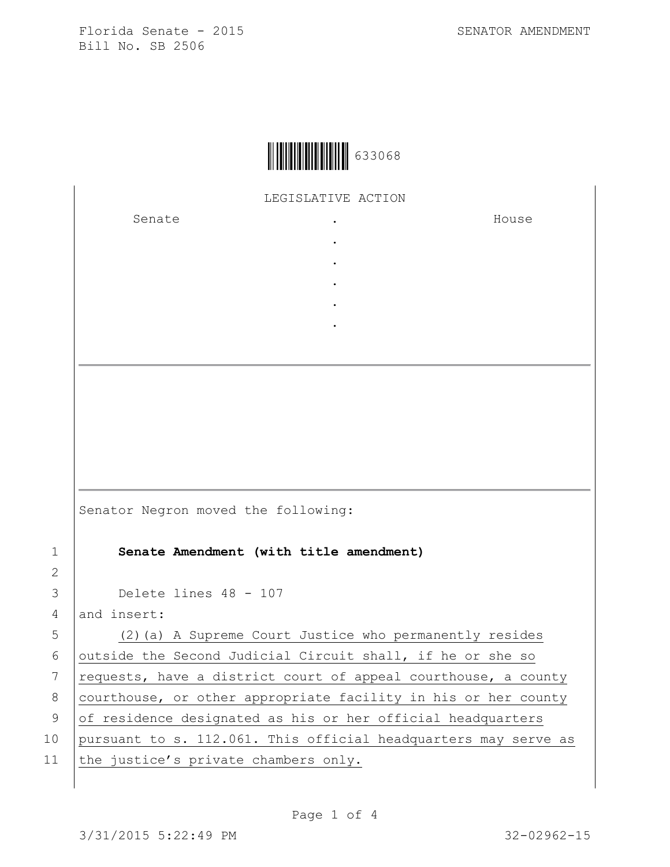

LEGISLATIVE ACTION

. . . . .

Senate .

House

|                | Senate Amendment (with title amendment)                 |
|----------------|---------------------------------------------------------|
| $\overline{2}$ |                                                         |
|                | 3 Delete lines 48 - 107                                 |
|                | 4 and insert:                                           |
| $5 \mid$       | (2) (a) A Supreme Court Justice who permanently resides |

Senator Negron moved the following:

6 outside the Second Judicial Circuit shall, if he or she so 7  $requests,$  have a district court of appeal courthouse, a county 8 courthouse, or other appropriate facility in his or her county 9 of residence designated as his or her official headquarters 10 pursuant to s. 112.061. This official headquarters may serve as 11 the justice's private chambers only.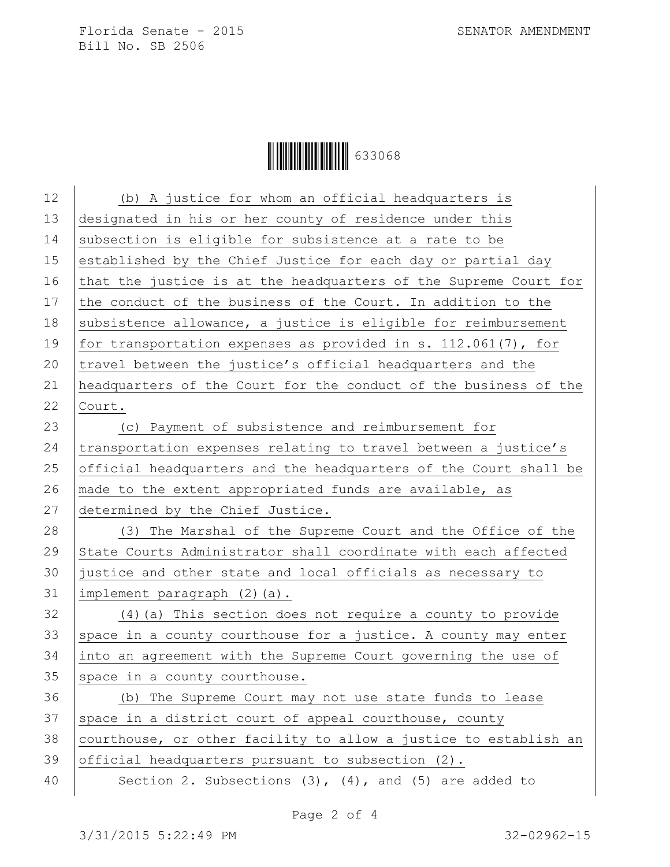| 12 | (b) A justice for whom an official headquarters is               |
|----|------------------------------------------------------------------|
| 13 | designated in his or her county of residence under this          |
| 14 | subsection is eligible for subsistence at a rate to be           |
| 15 | established by the Chief Justice for each day or partial day     |
| 16 | that the justice is at the headquarters of the Supreme Court for |
| 17 | the conduct of the business of the Court. In addition to the     |
| 18 | subsistence allowance, a justice is eligible for reimbursement   |
| 19 | for transportation expenses as provided in s. $112.061(7)$ , for |
| 20 | travel between the justice's official headquarters and the       |
| 21 | headquarters of the Court for the conduct of the business of the |
| 22 | Court.                                                           |
| 23 | (c) Payment of subsistence and reimbursement for                 |
| 24 | transportation expenses relating to travel between a justice's   |
| 25 | official headquarters and the headquarters of the Court shall be |
| 26 | made to the extent appropriated funds are available, as          |
| 27 | determined by the Chief Justice.                                 |
| 28 | (3) The Marshal of the Supreme Court and the Office of the       |
| 29 | State Courts Administrator shall coordinate with each affected   |
| 30 | justice and other state and local officials as necessary to      |
| 31 | implement paragraph (2)(a).                                      |
| 32 | (4) (a) This section does not require a county to provide        |
| 33 | space in a county courthouse for a justice. A county may enter   |
| 34 | into an agreement with the Supreme Court governing the use of    |
| 35 | space in a county courthouse.                                    |
| 36 | (b) The Supreme Court may not use state funds to lease           |
| 37 | space in a district court of appeal courthouse, county           |
| 38 | courthouse, or other facility to allow a justice to establish an |
| 39 | official headquarters pursuant to subsection (2).                |
| 40 | Section 2. Subsections $(3)$ , $(4)$ , and $(5)$ are added to    |
|    |                                                                  |

Page 2 of 4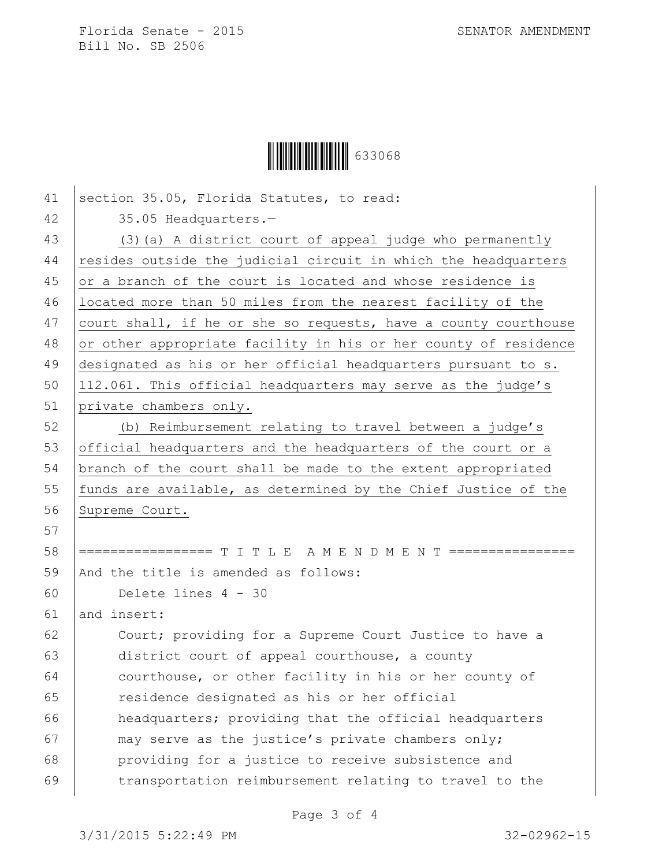|  | 633068 |
|--|--------|
|--|--------|

| 41 | section 35.05, Florida Statutes, to read:                       |
|----|-----------------------------------------------------------------|
| 42 | 35.05 Headquarters.-                                            |
| 43 | (3) (a) A district court of appeal judge who permanently        |
| 44 | resides outside the judicial circuit in which the headquarters  |
| 45 | or a branch of the court is located and whose residence is      |
| 46 | located more than 50 miles from the nearest facility of the     |
| 47 | court shall, if he or she so requests, have a county courthouse |
| 48 | or other appropriate facility in his or her county of residence |
| 49 | designated as his or her official headquarters pursuant to s.   |
| 50 | 112.061. This official headquarters may serve as the judge's    |
| 51 | private chambers only.                                          |
| 52 | (b) Reimbursement relating to travel between a judge's          |
| 53 | official headquarters and the headquarters of the court or a    |
| 54 | branch of the court shall be made to the extent appropriated    |
| 55 | funds are available, as determined by the Chief Justice of the  |
| 56 | Supreme Court.                                                  |
| 57 |                                                                 |
| 58 | ================= T I T L E A M E N D M E N T ================  |
| 59 | And the title is amended as follows:                            |
| 60 | Delete lines 4 - 30                                             |
| 61 | and insert:                                                     |
| 62 | Court; providing for a Supreme Court Justice to have a          |
| 63 | district court of appeal courthouse, a county                   |
| 64 | courthouse, or other facility in his or her county of           |
| 65 | residence designated as his or her official                     |
| 66 | headquarters; providing that the official headquarters          |
| 67 | may serve as the justice's private chambers only;               |
| 68 | providing for a justice to receive subsistence and              |
| 69 | transportation reimbursement relating to travel to the          |

Page 3 of 4